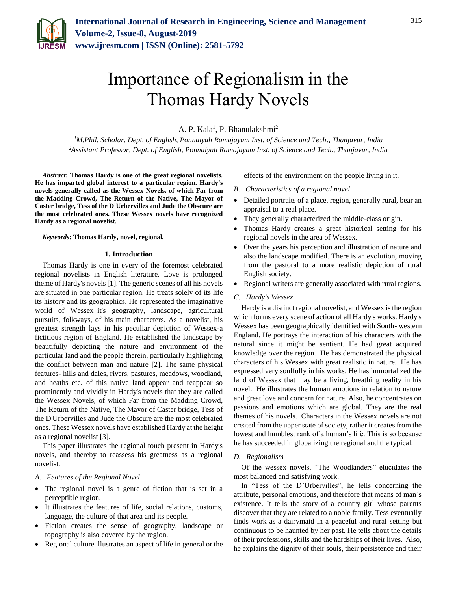

# Importance of Regionalism in the Thomas Hardy Novels

A. P. Kala<sup>1</sup>, P. Bhanulakshmi<sup>2</sup>

*<sup>1</sup>M.Phil. Scholar, Dept. of English, Ponnaiyah Ramajayam Inst. of Science and Tech., Thanjavur, India 2Assistant Professor, Dept. of English, Ponnaiyah Ramajayam Inst. of Science and Tech., Thanjavur, India*

*Abstract***: Thomas Hardy is one of the great regional novelists. He has imparted global interest to a particular region. Hardy's novels generally called as the Wessex Novels, of which Far from the Madding Crowd, The Return of the Native, The Mayor of Caster bridge, Tess of the D'Urbervilles and Jude the Obscure are the most celebrated ones. These Wessex novels have recognized Hardy as a regional novelist.**

*Keywords***: Thomas Hardy, novel, regional.**

#### **1. Introduction**

Thomas Hardy is one in every of the foremost celebrated regional novelists in English literature. Love is prolonged theme of Hardy's novels [1]. The generic scenes of all his novels are situated in one particular region. He treats solely of its life its history and its geographics. He represented the imaginative world of Wessex–it's geography, landscape, agricultural pursuits, folkways, of his main characters. As a novelist, his greatest strength lays in his peculiar depiction of Wessex-a fictitious region of England. He established the landscape by beautifully depicting the nature and environment of the particular land and the people therein, particularly highlighting the conflict between man and nature [2]. The same physical features- hills and dales, rivers, pastures, meadows, woodland, and heaths etc. of this native land appear and reappear so prominently and vividly in Hardy's novels that they are called the Wessex Novels, of which Far from the Madding Crowd, The Return of the Native, The Mayor of Caster bridge, Tess of the D'Urbervilles and Jude the Obscure are the most celebrated ones. These Wessex novels have established Hardy at the height as a regional novelist [3].

This paper illustrates the regional touch present in Hardy's novels, and thereby to reassess his greatness as a regional novelist.

## *A. Features of the Regional Novel*

- The regional novel is a genre of fiction that is set in a perceptible region.
- It illustrates the features of life, social relations, customs, language, the culture of that area and its people.
- Fiction creates the sense of geography, landscape or topography is also covered by the region.
- Regional culture illustrates an aspect of life in general or the

effects of the environment on the people living in it.

- *B. Characteristics of a regional novel*
- Detailed portraits of a place, region, generally rural, bear an appraisal to a real place.
- They generally characterized the middle-class origin.
- Thomas Hardy creates a great historical setting for his regional novels in the area of Wessex.
- Over the years his perception and illustration of nature and also the landscape modified. There is an evolution, moving from the pastoral to a more realistic depiction of rural English society.
- Regional writers are generally associated with rural regions.
- *C. Hardy's Wessex*

Hardy is a distinct regional novelist, and Wessex is the region which forms every scene of action of all Hardy's works. Hardy's Wessex has been geographically identified with South- western England. He portrays the interaction of his characters with the natural since it might be sentient. He had great acquired knowledge over the region. He has demonstrated the physical characters of his Wessex with great realistic in nature. He has expressed very soulfully in his works. He has immortalized the land of Wessex that may be a living, breathing reality in his novel. He illustrates the human emotions in relation to nature and great love and concern for nature. Also, he concentrates on passions and emotions which are global. They are the real themes of his novels. Characters in the Wessex novels are not created from the upper state of society, rather it creates from the lowest and humblest rank of a human's life. This is so because he has succeeded in globalizing the regional and the typical.

#### *D. Regionalism*

Of the wessex novels, "The Woodlanders" elucidates the most balanced and satisfying work.

In "Tess of the D'Urbervilles", he tells concerning the attribute, personal emotions, and therefore that means of man´s existence. It tells the story of a country girl whose parents discover that they are related to a noble family. Tess eventually finds work as a dairymaid in a peaceful and rural setting but continuous to be haunted by her past. He tells about the details of their professions, skills and the hardships of their lives. Also, he explains the dignity of their souls, their persistence and their